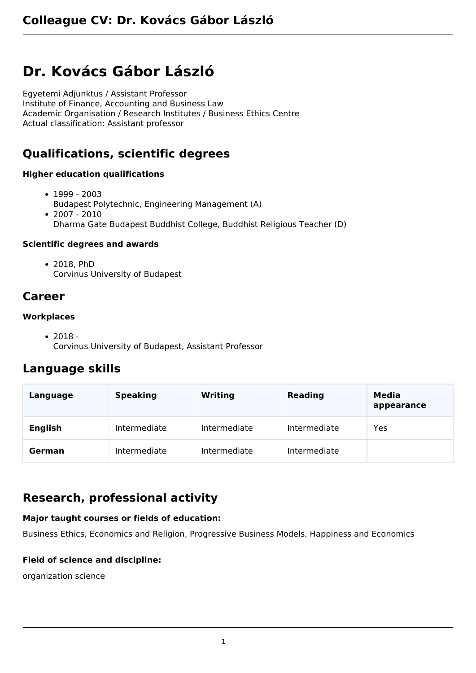# **Dr. Kovács Gábor László**

Egyetemi Adjunktus / Assistant Professor Institute of Finance, Accounting and Business Law Academic Organisation / Research Institutes / Business Ethics Centre Actual classification: Assistant professor

# **Qualifications, scientific degrees**

#### **Higher education qualifications**

- $1999 2003$ Budapest Polytechnic, Engineering Management (A)  $• 2007 - 2010$
- Dharma Gate Budapest Buddhist College, Buddhist Religious Teacher (D)

#### **Scientific degrees and awards**

2018, PhD Corvinus University of Budapest

### **Career**

#### **Workplaces**

 $• 2018 -$ Corvinus University of Budapest, Assistant Professor

### **Language skills**

| Language       | <b>Speaking</b> | <b>Writing</b> | <b>Reading</b> | Media<br>appearance |
|----------------|-----------------|----------------|----------------|---------------------|
| <b>English</b> | Intermediate    | Intermediate   | Intermediate   | Yes                 |
| German         | Intermediate    | Intermediate   | Intermediate   |                     |

## **Research, professional activity**

#### **Major taught courses or fields of education:**

Business Ethics, Economics and Religion, Progressive Business Models, Happiness and Economics

#### **Field of science and discipline:**

organization science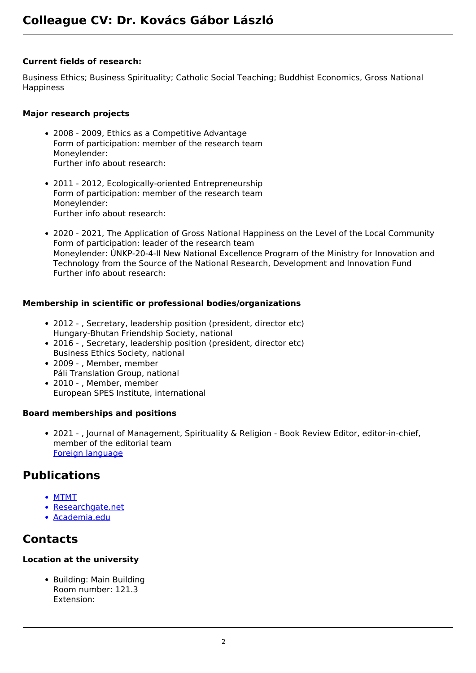#### **Current fields of research:**

Business Ethics; Business Spirituality; Catholic Social Teaching; Buddhist Economics, Gross National Happiness

#### **Major research projects**

- 2008 2009, Ethics as a Competitive Advantage Form of participation: member of the research team Moneylender: Further info about research:
- 2011 2012, Ecologically-oriented Entrepreneurship Form of participation: member of the research team Moneylender: Further info about research:
- 2020 2021, The Application of Gross National Happiness on the Level of the Local Community Form of participation: leader of the research team Moneylender: ÚNKP-20-4-II New National Excellence Program of the Ministry for Innovation and Technology from the Source of the National Research, Development and Innovation Fund Further info about research:

#### **Membership in scientific or professional bodies/organizations**

- 2012 , Secretary, leadership position (president, director etc) Hungary-Bhutan Friendship Society, national
- 2016 , Secretary, leadership position (president, director etc) Business Ethics Society, national
- 2009 , Member, member Páli Translation Group, national
- 2010 , Member, member European SPES Institute, international

#### **Board memberships and positions**

2021 - , Journal of Management, Spirituality & Religion - Book Review Editor, editor-in-chief, member of the editorial team [Foreign language](https://www.ingentaconnect.com/content/1942-258X)

### **Publications**

- [MTMT](https://m2.mtmt.hu/gui2/?type=authors&mode=browse&sel=10048034)
- [Researchgate.net](https://www.researchgate.net/profile/Gabor_Kovacs23)
- [Academia.edu](http://uni-corvinus.academia.edu/Kov%C3%A1csG%C3%A1bor)

### **Contacts**

### **Location at the university**

• Building: Main Building Room number: 121.3 Extension: